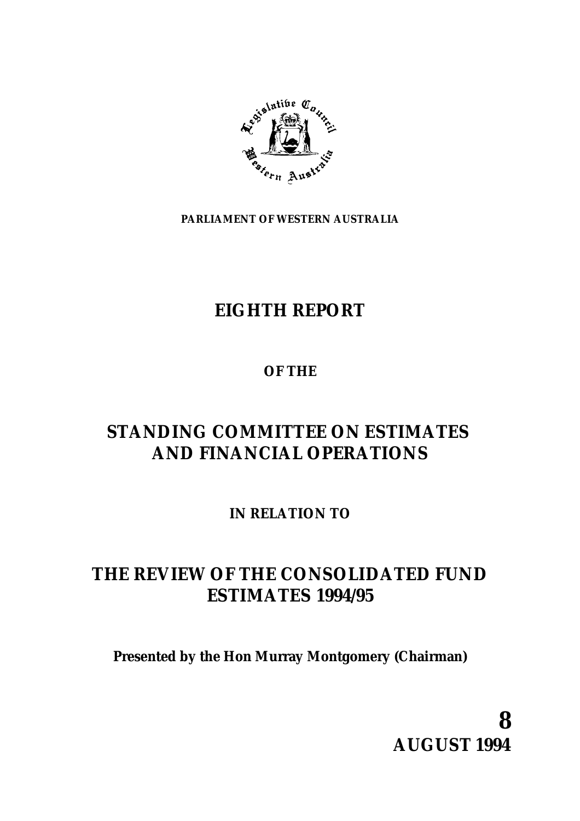

**PARLIAMENT OF WESTERN AUSTRALIA**

# **EIGHTH REPORT**

# **OF THE**

# **STANDING COMMITTEE ON ESTIMATES AND FINANCIAL OPERATIONS**

**IN RELATION TO**

# **THE REVIEW OF THE CONSOLIDATED FUND ESTIMATES 1994/95**

**Presented by the Hon Murray Montgomery (Chairman)**

**8 AUGUST 1994**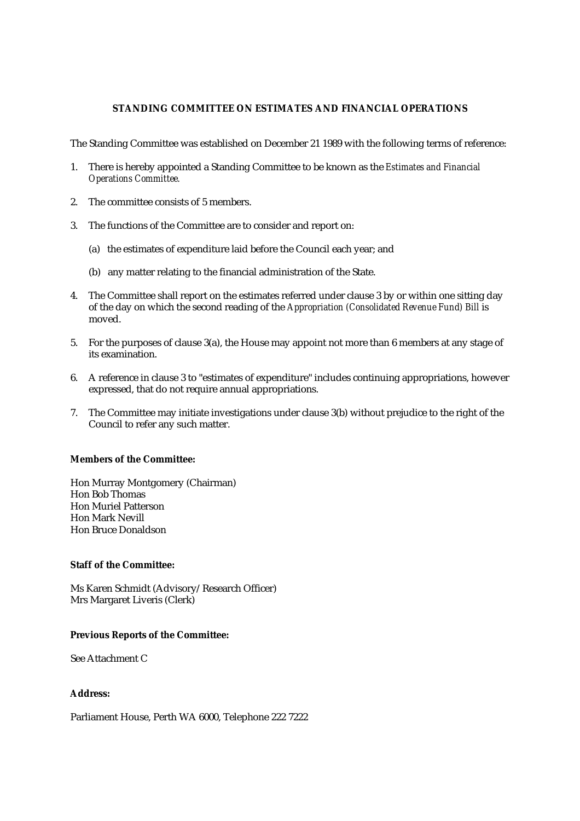## **STANDING COMMITTEE ON ESTIMATES AND FINANCIAL OPERATIONS**

The Standing Committee was established on December 21 1989 with the following terms of reference:

- 1. There is hereby appointed a Standing Committee to be known as the *Estimates and Financial Operations Committee.*
- 2. The committee consists of 5 members.
- 3. The functions of the Committee are to consider and report on:
	- (a) the estimates of expenditure laid before the Council each year; and
	- (b) any matter relating to the financial administration of the State.
- 4. The Committee shall report on the estimates referred under clause 3 by or within one sitting day of the day on which the second reading of the *Appropriation (Consolidated Revenue Fund) Bill* is moved.
- 5. For the purposes of clause 3(a), the House may appoint not more than 6 members at any stage of its examination.
- 6. A reference in clause 3 to "estimates of expenditure" includes continuing appropriations, however expressed, that do not require annual appropriations.
- 7. The Committee may initiate investigations under clause 3(b) without prejudice to the right of the Council to refer any such matter.

### **Members of the Committee:**

Hon Murray Montgomery (Chairman) Hon Bob Thomas Hon Muriel Patterson Hon Mark Nevill Hon Bruce Donaldson

## **Staff of the Committee:**

Ms Karen Schmidt (Advisory/Research Officer) Mrs Margaret Liveris (Clerk)

## **Previous Reports of the Committee:**

See Attachment C

# **Address:**

Parliament House, Perth WA 6000, Telephone 222 7222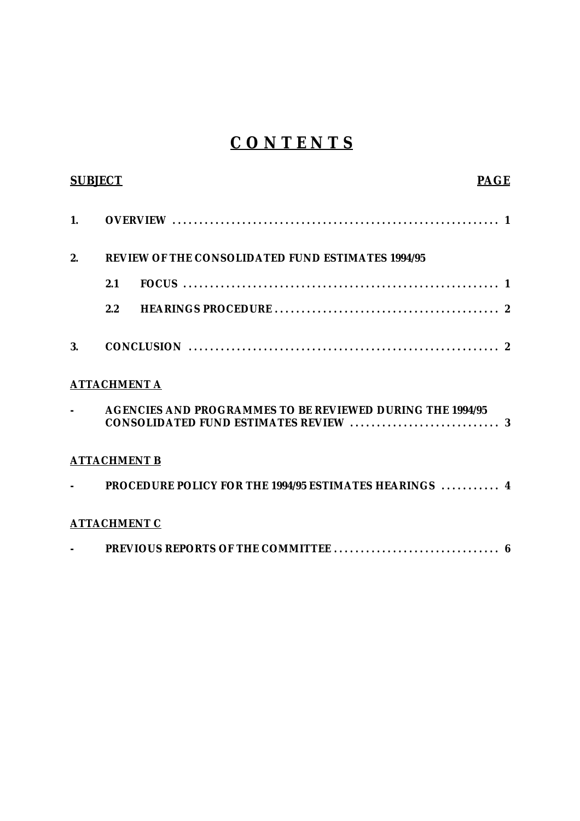# **C O N T E N T S**

| <b>SUBJECT</b>           |                                                          |                                                                  | <b>PAGE</b> |  |
|--------------------------|----------------------------------------------------------|------------------------------------------------------------------|-------------|--|
| 1.                       |                                                          |                                                                  |             |  |
| 2.                       | <b>REVIEW OF THE CONSOLIDATED FUND ESTIMATES 1994/95</b> |                                                                  |             |  |
|                          | 2.1                                                      |                                                                  |             |  |
|                          | 2.2                                                      |                                                                  |             |  |
| 3.                       |                                                          |                                                                  |             |  |
|                          | <b>ATTACHMENT A</b>                                      |                                                                  |             |  |
| $\overline{\phantom{a}}$ |                                                          | <b>AGENCIES AND PROGRAMMES TO BE REVIEWED DURING THE 1994/95</b> |             |  |
|                          | <b>ATTACHMENT B</b>                                      |                                                                  |             |  |
|                          |                                                          | PROCEDURE POLICY FOR THE 1994/95 ESTIMATES HEARINGS  4           |             |  |
|                          | <b>ATTACHMENT C</b>                                      |                                                                  |             |  |
|                          |                                                          |                                                                  |             |  |
|                          |                                                          |                                                                  |             |  |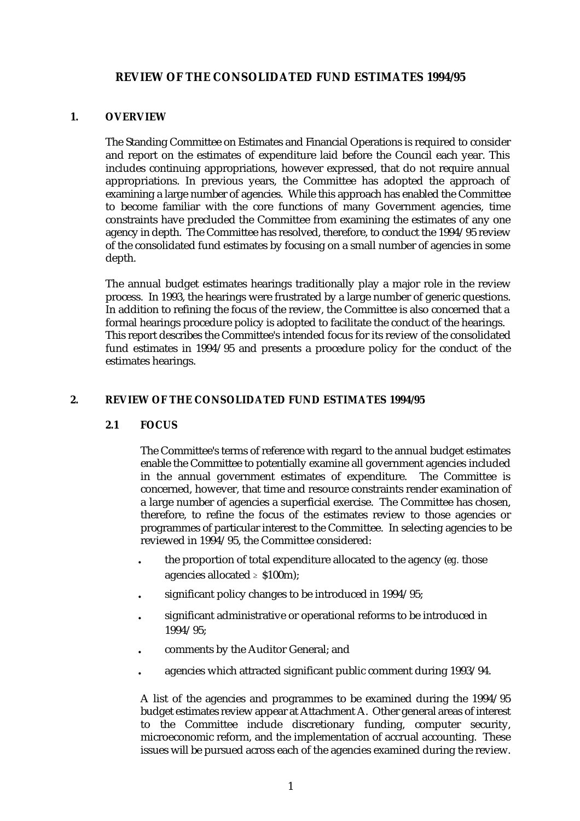# **REVIEW OF THE CONSOLIDATED FUND ESTIMATES 1994/95**

# **1. OVERVIEW**

The Standing Committee on Estimates and Financial Operations is required to consider and report on the estimates of expenditure laid before the Council each year. This includes continuing appropriations, however expressed, that do not require annual appropriations. In previous years, the Committee has adopted the approach of examining a large number of agencies. While this approach has enabled the Committee to become familiar with the core functions of many Government agencies, time constraints have precluded the Committee from examining the estimates of any one agency in depth. The Committee has resolved, therefore, to conduct the 1994/95 review of the consolidated fund estimates by focusing on a small number of agencies in some depth.

The annual budget estimates hearings traditionally play a major role in the review process. In 1993, the hearings were frustrated by a large number of generic questions. In addition to refining the focus of the review, the Committee is also concerned that a formal hearings procedure policy is adopted to facilitate the conduct of the hearings. This report describes the Committee's intended focus for its review of the consolidated fund estimates in 1994/95 and presents a procedure policy for the conduct of the estimates hearings.

# **2. REVIEW OF THE CONSOLIDATED FUND ESTIMATES 1994/95**

# **2.1 FOCUS**

The Committee's terms of reference with regard to the annual budget estimates enable the Committee to potentially examine all government agencies included in the annual government estimates of expenditure. The Committee is concerned, however, that time and resource constraints render examination of a large number of agencies a superficial exercise. The Committee has chosen, therefore, to refine the focus of the estimates review to those agencies or programmes of particular interest to the Committee. In selecting agencies to be reviewed in 1994/95, the Committee considered:

- . the proportion of total expenditure allocated to the agency (*eg.* those agencies allocated  $\geq$  \$100m):
- significant policy changes to be introduced in 1994/95;
- . significant administrative or operational reforms to be introduced in 1994/95;
- . comments by the Auditor General; and
- . agencies which attracted significant public comment during 1993/94.

A list of the agencies and programmes to be examined during the 1994/95 budget estimates review appear at Attachment A. Other general areas of interest to the Committee include discretionary funding, computer security, microeconomic reform, and the implementation of accrual accounting. These issues will be pursued across each of the agencies examined during the review.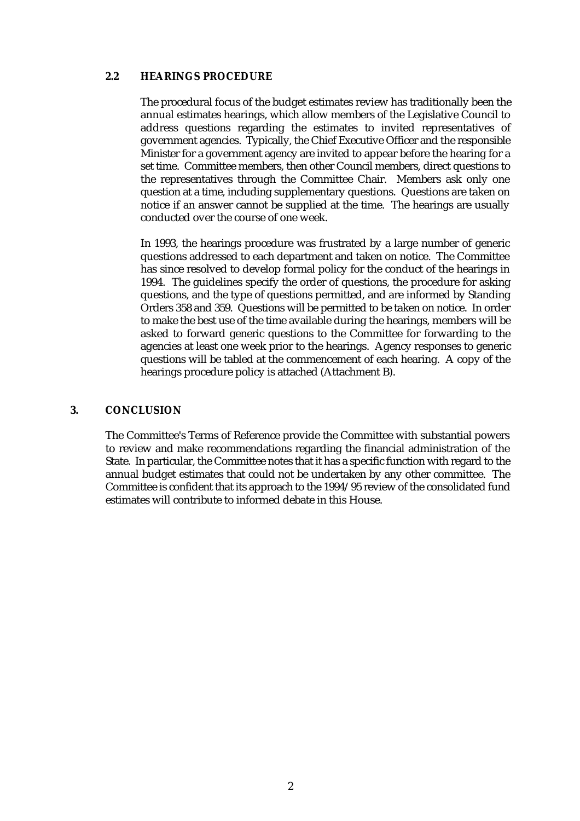# **2.2 HEARINGS PROCEDURE**

The procedural focus of the budget estimates review has traditionally been the annual estimates hearings, which allow members of the Legislative Council to address questions regarding the estimates to invited representatives of government agencies. Typically, the Chief Executive Officer and the responsible Minister for a government agency are invited to appear before the hearing for a set time. Committee members, then other Council members, direct questions to the representatives through the Committee Chair. Members ask only one question at a time, including supplementary questions. Questions are taken on notice if an answer cannot be supplied at the time. The hearings are usually conducted over the course of one week.

In 1993, the hearings procedure was frustrated by a large number of generic questions addressed to each department and taken on notice. The Committee has since resolved to develop formal policy for the conduct of the hearings in 1994. The guidelines specify the order of questions, the procedure for asking questions, and the type of questions permitted, and are informed by Standing Orders 358 and 359. Questions will be permitted to be taken on notice. In order to make the best use of the time available during the hearings, members will be asked to forward generic questions to the Committee for forwarding to the agencies at least one week prior to the hearings. Agency responses to generic questions will be tabled at the commencement of each hearing. A copy of the hearings procedure policy is attached (Attachment B).

# **3. CONCLUSION**

The Committee's Terms of Reference provide the Committee with substantial powers to review and make recommendations regarding the financial administration of the State. In particular, the Committee notes that it has a specific function with regard to the annual budget estimates that could not be undertaken by any other committee. The Committee is confident that its approach to the 1994/95 review of the consolidated fund estimates will contribute to informed debate in this House.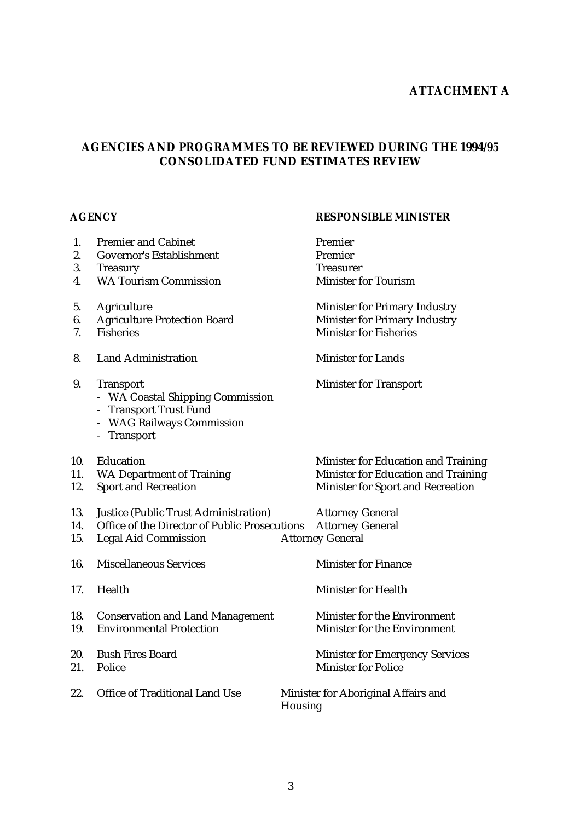# **ATTACHMENT A**

# **AGENCIES AND PROGRAMMES TO BE REVIEWED DURING THE 1994/95 CONSOLIDATED FUND ESTIMATES REVIEW**

# **AGENCY RESPONSIBLE MINISTER**

| 1.         | <b>Premier and Cabinet</b>                                                                                                                           | Premier                                                              |  |
|------------|------------------------------------------------------------------------------------------------------------------------------------------------------|----------------------------------------------------------------------|--|
| 2.         | <b>Governor's Establishment</b>                                                                                                                      | Premier                                                              |  |
| 3.         | <b>Treasury</b>                                                                                                                                      | <b>Treasurer</b>                                                     |  |
| 4.         | <b>WA Tourism Commission</b>                                                                                                                         | <b>Minister for Tourism</b>                                          |  |
| 5.         | Agriculture                                                                                                                                          | <b>Minister for Primary Industry</b>                                 |  |
| 6.         | <b>Agriculture Protection Board</b>                                                                                                                  | <b>Minister for Primary Industry</b>                                 |  |
| 7.         | <b>Fisheries</b>                                                                                                                                     | <b>Minister for Fisheries</b>                                        |  |
| 8.         | <b>Land Administration</b>                                                                                                                           | <b>Minister for Lands</b>                                            |  |
| 9.         | <b>Transport</b><br>- WA Coastal Shipping Commission<br><b>Transport Trust Fund</b><br>$\qquad \qquad -$<br>- WAG Railways Commission<br>- Transport | <b>Minister for Transport</b>                                        |  |
| 10.        | Education                                                                                                                                            | Minister for Education and Training                                  |  |
| 11.        | <b>WA Department of Training</b>                                                                                                                     | Minister for Education and Training                                  |  |
| 12.        | <b>Sport and Recreation</b>                                                                                                                          | <b>Minister for Sport and Recreation</b>                             |  |
| 13.        | <b>Justice (Public Trust Administration)</b>                                                                                                         | <b>Attorney General</b>                                              |  |
| 14.        | Office of the Director of Public Prosecutions                                                                                                        | <b>Attorney General</b>                                              |  |
| 15.        | <b>Legal Aid Commission</b>                                                                                                                          | <b>Attorney General</b>                                              |  |
| 16.        | <b>Miscellaneous Services</b>                                                                                                                        | <b>Minister for Finance</b>                                          |  |
| 17.        | Health                                                                                                                                               | <b>Minister for Health</b>                                           |  |
| 18.<br>19. | <b>Conservation and Land Management</b><br><b>Environmental Protection</b>                                                                           | Minister for the Environment<br>Minister for the Environment         |  |
| 20.<br>21. | <b>Bush Fires Board</b><br>Police                                                                                                                    | <b>Minister for Emergency Services</b><br><b>Minister for Police</b> |  |
| 22.        | <b>Office of Traditional Land Use</b>                                                                                                                | Minister for Aboriginal Affairs and<br>Housing                       |  |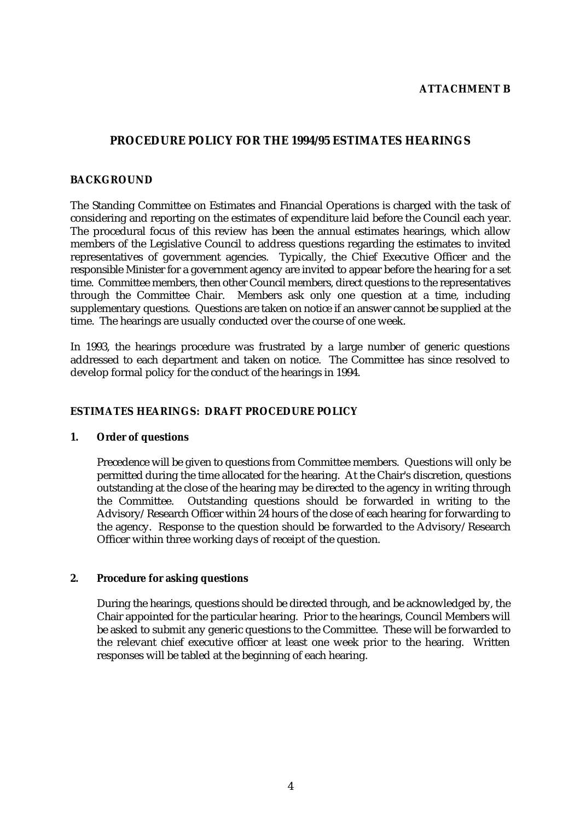# **ATTACHMENT B**

# **PROCEDURE POLICY FOR THE 1994/95 ESTIMATES HEARINGS**

# **BACKGROUND**

The Standing Committee on Estimates and Financial Operations is charged with the task of considering and reporting on the estimates of expenditure laid before the Council each year. The procedural focus of this review has been the annual estimates hearings, which allow members of the Legislative Council to address questions regarding the estimates to invited representatives of government agencies. Typically, the Chief Executive Officer and the responsible Minister for a government agency are invited to appear before the hearing for a set time. Committee members, then other Council members, direct questions to the representatives through the Committee Chair. Members ask only one question at a time, including supplementary questions. Questions are taken on notice if an answer cannot be supplied at the time. The hearings are usually conducted over the course of one week.

In 1993, the hearings procedure was frustrated by a large number of generic questions addressed to each department and taken on notice. The Committee has since resolved to develop formal policy for the conduct of the hearings in 1994.

# **ESTIMATES HEARINGS: DRAFT PROCEDURE POLICY**

## **1. Order of questions**

Precedence will be given to questions from Committee members. Questions will only be permitted during the time allocated for the hearing. At the Chair's discretion, questions outstanding at the close of the hearing may be directed to the agency in writing through the Committee. Outstanding questions should be forwarded in writing to the Advisory/Research Officer within 24 hours of the close of each hearing for forwarding to the agency. Response to the question should be forwarded to the Advisory/Research Officer within three working days of receipt of the question.

## **2. Procedure for asking questions**

During the hearings, questions should be directed through, and be acknowledged by, the Chair appointed for the particular hearing. Prior to the hearings, Council Members will be asked to submit any generic questions to the Committee. These will be forwarded to the relevant chief executive officer at least one week prior to the hearing. Written responses will be tabled at the beginning of each hearing.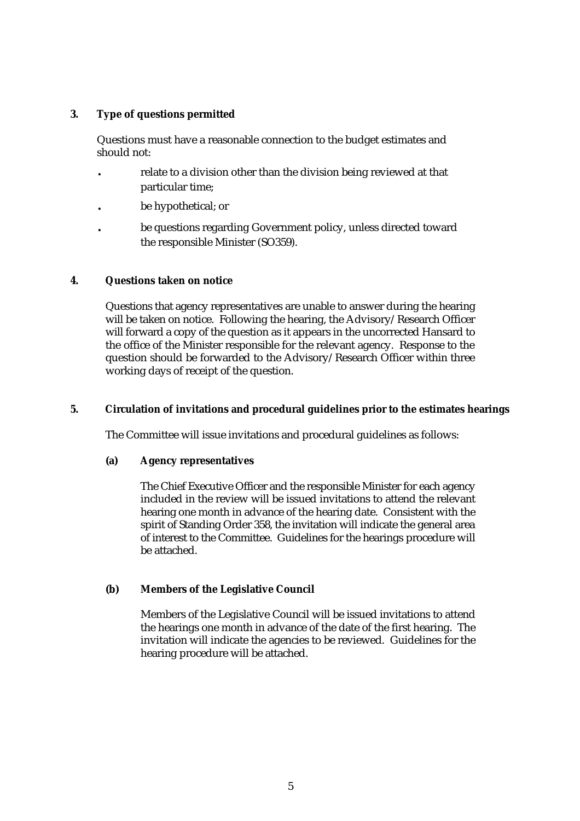# **3. Type of questions permitted**

Questions must have a reasonable connection to the budget estimates and should not:

- . relate to a division other than the division being reviewed at that particular time;
- . be hypothetical; or
- . be questions regarding Government policy, unless directed toward the responsible Minister (SO359).

# **4. Questions taken on notice**

Questions that agency representatives are unable to answer during the hearing will be taken on notice. Following the hearing, the Advisory/Research Officer will forward a copy of the question as it appears in the uncorrected Hansard to the office of the Minister responsible for the relevant agency. Response to the question should be forwarded to the Advisory/Research Officer within three working days of receipt of the question.

# **5. Circulation of invitations and procedural guidelines prior to the estimates hearings**

The Committee will issue invitations and procedural guidelines as follows:

## **(a) Agency representatives**

The Chief Executive Officer and the responsible Minister for each agency included in the review will be issued invitations to attend the relevant hearing one month in advance of the hearing date. Consistent with the spirit of Standing Order 358, the invitation will indicate the general area of interest to the Committee. Guidelines for the hearings procedure will be attached.

# **(b) Members of the Legislative Council**

Members of the Legislative Council will be issued invitations to attend the hearings one month in advance of the date of the first hearing. The invitation will indicate the agencies to be reviewed. Guidelines for the hearing procedure will be attached.